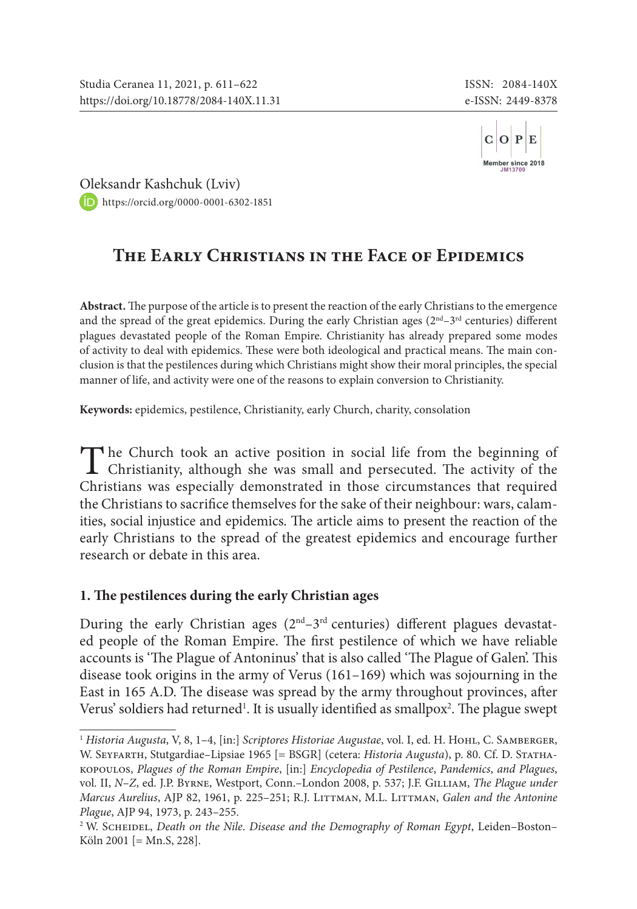

[Ole](https://orcid.org/0000-0001-6302-1851)ksandr Kashchuk (Lviv) <https://orcid.org/0000-0001-6302-1851>

# **The Early Christians in the Face of Epidemics**

**Abstract.** The purpose of the article is to present the reaction of the early Christians to the emergence and the spread of the great epidemics. During the early Christian ages  $(2<sup>nd</sup>-3<sup>rd</sup>$  centuries) different plagues devastated people of the Roman Empire. Christianity has already prepared some modes of activity to deal with epidemics. These were both ideological and practical means. The main conclusion is that the pestilences during which Christians might show their moral principles, the special manner of life, and activity were one of the reasons to explain conversion to Christianity.

**Keywords:** epidemics, pestilence, Christianity, early Church, charity, consolation

The Church took an active position in social life from the beginning of Christianity, although she was small and persecuted. The activity of the Christian and persecuted in the conjunction are that provincial Christians was especially demonstrated in those circumstances that required the Christians to sacrifice themselves for the sake of their neighbour: wars, calamities, social injustice and epidemics. The article aims to present the reaction of the early Christians to the spread of the greatest epidemics and encourage further research or debate in this area.

# **1. The pestilences during the early Christian ages**

During the early Christian ages  $(2<sup>nd</sup>-3<sup>rd</sup>$  centuries) different plagues devastated people of the Roman Empire. The first pestilence of which we have reliable accounts is 'The Plague of Antoninus' that is also called 'The Plague of Galen'. This disease took origins in the army of Verus (161–169) which was sojourning in the East in 165 A.D. The disease was spread by the army throughout provinces, after Verus' soldiers had returned<sup>1</sup>. It is usually identified as smallpox<sup>2</sup>. The plague swept

<sup>1</sup> *Historia Augusta*, V, 8, 1–4, [in:] *Scriptores Historiae Augustae*, vol. I, ed. H. Hohl, C. Samberger, W. Seyfarth, Stutgardiae–Lipsiae 1965 [= BSGR] (cetera: *Historia Augusta*), p. 80. Cf. D. Stathakopoulos, *Plagues of the Roman Empire*, [in:] *Encyclopedia of Pestilence*, *Pandemics*, *and Plagues*, vol. II, *N-Z*, ed. J.P. Byrne, Westport, Conn.-London 2008, p. 537; J.F. GILLIAM, *The Plague under Marcus Aurelius*, AJP 82, 1961, p. 225–251; R.J. Littman, M.L. Littman, *Galen and the Antonine Plague*, AJP 94, 1973, p. 243–255.

<sup>2</sup> W. Scheidel, *Death on the Nile*. *Disease and the Demography of Roman Egypt*, Leiden–Boston– Köln 2001 [= Mn.S, 228].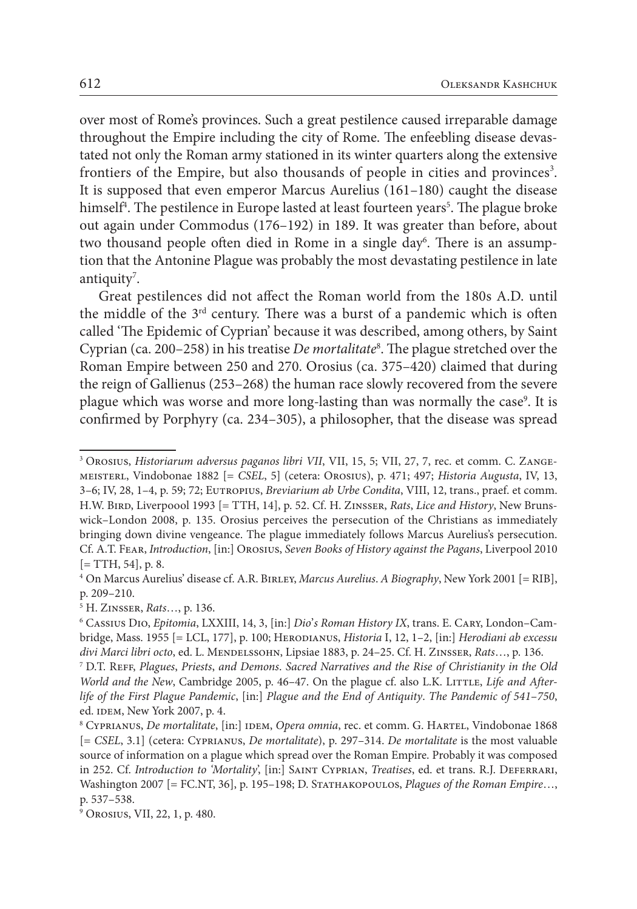over most of Rome's provinces. Such a great pestilence caused irreparable damage throughout the Empire including the city of Rome. The enfeebling disease devastated not only the Roman army stationed in its winter quarters along the extensive frontiers of the Empire, but also thousands of people in cities and provinces<sup>3</sup>. It is supposed that even emperor Marcus Aurelius (161–180) caught the disease himself<sup>4</sup>. The pestilence in Europe lasted at least fourteen years<sup>5</sup>. The plague broke out again under Commodus (176–192) in 189. It was greater than before, about two thousand people often died in Rome in a single day<sup>6</sup>. There is an assumption that the Antonine Plague was probably the most devastating pestilence in late antiquity<sup>7</sup>.

Great pestilences did not affect the Roman world from the 180s A.D. until the middle of the  $3<sup>rd</sup>$  century. There was a burst of a pandemic which is often called 'The Epidemic of Cyprian' because it was described, among others, by Saint Cyprian (сa. 200–258) in his treatise *De mortalitate*<sup>8</sup> . The plague stretched over the Roman Empire between 250 and 270. Orosius (ca. 375–420) claimed that during the reign of Gallienus (253–268) the human race slowly recovered from the severe plague which was worse and more long-lasting than was normally the case<sup>9</sup>. It is confirmed by Porphyry (ca. 234–305), a philosopher, that the disease was spread

<sup>3</sup> Orosius, *Historiarum adversus paganos libri VII*, VII, 15, 5; VII, 27, 7, rec. et comm. C. Zangemeisterl, Vindobonae 1882 [= *CSEL*, 5] (cetera: Orosius), p. 471; 497; *Historia Augusta*, IV, 13, 3–6; IV, 28, 1–4, p. 59; 72; Eutropius, *Breviarium ab Urbe Condita*, VIII, 12, trans., praef. et comm. H.W. Bird, Liverpoool 1993 [= TTH, 14], p. 52. Cf. H. Zinsser, *Rats*, *Lice and History*, New Brunswick–London 2008, p. 135. Orosius perceives the persecution of the Christians as immediately bringing down divine vengeance. The plague immediately follows Marcus Aurelius's persecution. Cf. A.T. Fear, *Introduction*, [in:] Orosius, *Seven Books of History against the Pagans*, Liverpool 2010  $[= TTH, 54]$ , p. 8.

<sup>4</sup> On Marcus Aurelius' disease cf. A.R. Birley, *Marcus Aurelius*. *A Biography*, New York 2001 [= RIB], p. 209–210.

<sup>5</sup> H. Zinsser, *Rats*…, p. 136.

<sup>6</sup> Cassius Dio, *Epitomia*, LXXIII, 14, 3, [in:] *Dio*'*s Roman History IX*, trans. E. Cary, London–Cambridge, Mass. 1955 [= LCL, 177], p. 100; Herodianus, *Historia* I, 12, 1–2, [in:] *Herodiani ab excessu divi Marci libri octo*, ed. L. Mendelssohn, Lipsiae 1883, p. 24–25. Cf. H. Zinsser, *Rats*…, p. 136.

<sup>7</sup> D.T. Reff, *Plagues*, *Priests*, *and Demons*. *Sacred Narratives and the Rise of Christianity in the Old*  World and the New, Cambridge 2005, p. 46-47. On the plague cf. also L.K. LITTLE, Life and After*life of the First Plague Pandemic*, [in:] *Plague and the End of Antiquity*. *The Pandemic of 541*–*750*, ed. IDEM, New York 2007, p. 4.

<sup>&</sup>lt;sup>8</sup> CYPRIANUS, *De mortalitate*, [in:] IDEM, *Opera omnia*, rec. et comm. G. HARTEL, Vindobonae 1868 [= *CSEL*, 3.1] (cetera: Cyprianus, *De mortalitate*), p. 297–314. *De mortalitate* is the most valuable source of information on a plague which spread over the Roman Empire. Probably it was composed in 252. Cf. *Introduction to 'Mortality*', [in:] Saint Cyprian, *Treatises*, ed. et trans. R.J. Deferrari, Washington 2007 [= FC.NT, 36], p. 195–198; D. Stathakopoulos, *Plagues of the Roman Empire*…, p. 537–538.

<sup>9</sup> Orosius, VII, 22, 1, p. 480.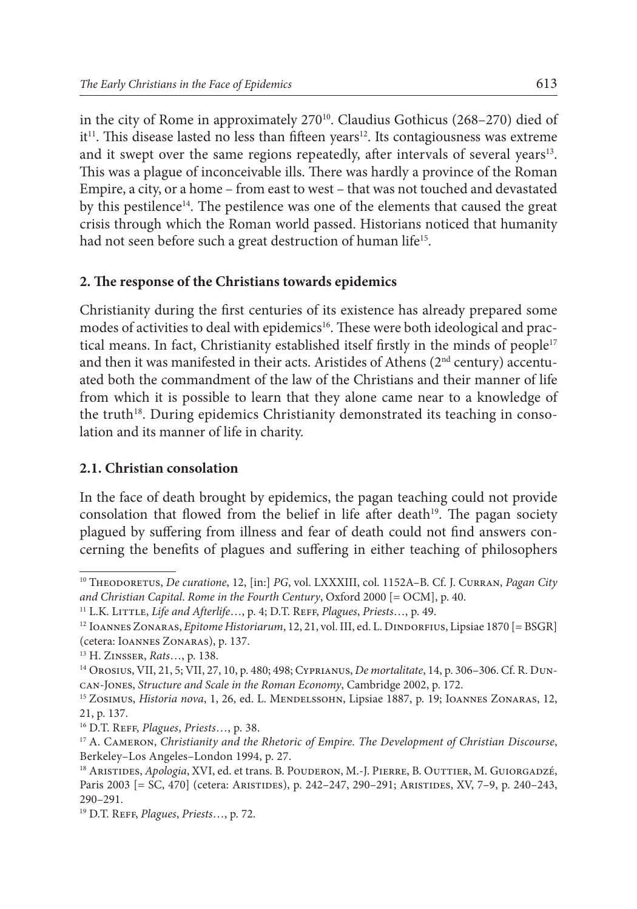in the city of Rome in approximately 270<sup>10</sup>. Claudius Gothicus (268–270) died of  $it<sup>11</sup>$ . This disease lasted no less than fifteen years<sup>12</sup>. Its contagiousness was extreme and it swept over the same regions repeatedly, after intervals of several years<sup>13</sup>. This was a plague of inconceivable ills. There was hardly a province of the Roman Empire, a city, or a home – from east to west – that was not touched and devastated by this pestilence<sup>14</sup>. The pestilence was one of the elements that caused the great crisis through which the Roman world passed. Historians noticed that humanity had not seen before such a great destruction of human life<sup>15</sup>.

# **2. The response of the Christians towards epidemics**

Christianity during the first centuries of its existence has already prepared some modes of activities to deal with epidemics<sup>16</sup>. These were both ideological and practical means. In fact, Christianity established itself firstly in the minds of people<sup>17</sup> and then it was manifested in their acts. Aristides of Athens  $(2<sup>nd</sup>$  century) accentuated both the commandment of the law of the Christians and their manner of life from which it is possible to learn that they alone came near to a knowledge of the truth<sup>18</sup>. During epidemics Christianity demonstrated its teaching in consolation and its manner of life in charity.

# **2.1. Christian consolation**

In the face of death brought by epidemics, the pagan teaching could not provide consolation that flowed from the belief in life after death $19$ . The pagan society plagued by suffering from illness and fear of death could not find answers concerning the benefits of plagues and suffering in either teaching of philosophers

<sup>10</sup> Theodoretus, *De curatione*, 12, [in:] *PG*, vol. LXXXIII, col. 1152A–B. Cf. J. Curran, *Pagan City and Christian Capital*. *Rome in the Fourth Century*, Oxford 2000 [= OCM], p. 40.

<sup>11</sup> L.K. Little, *Life and Afterlife*…, p. 4; D.T. Reff, *Plagues*, *Priests*…, p. 49.

<sup>&</sup>lt;sup>12</sup> IOANNES ZONARAS, *Epitome Historiarum*, 12, 21, vol. III, ed. L. DINDORFIUS, Lipsiae 1870 [= BSGR] (cetera: Ioannes Zonaras), p. 137.

<sup>13</sup> H. Zinsser, *Rats*…, p. 138.

<sup>14</sup> Orosius, VII, 21, 5; VII, 27, 10, p. 480; 498; Cyprianus, *De mortalitate*, 14, p. 306–306. Cf. R. Duncan-Jones, *Structure and Scale in the Roman Economy*, Cambridge 2002, p. 172.

<sup>&</sup>lt;sup>15</sup> ZOSIMUS, *Historia nova*, 1, 26, ed. L. MENDELSSOHN, Lipsiae 1887, p. 19; IOANNES ZONARAS, 12, 21, p. 137.

<sup>16</sup> D.T. Reff, *Plagues*, *Priests*…, p. 38.

<sup>17</sup> A. Cameron, *Christianity and the Rhetoric of Empire*. *The Development of Christian Discourse*, Berkeley–Los Angeles–London 1994, p. 27.

<sup>&</sup>lt;sup>18</sup> ARISTIDES, *Apologia*, XVI, ed. et trans. B. POUDERON, M.-J. PIERRE, B. OUTTIER, M. GUIORGADZÉ, Paris 2003 [= SC, 470] (cetera: Aristides), p. 242–247, 290–291; Aristides, XV, 7–9, p. 240–243, 290–291.

<sup>19</sup> D.T. Reff, *Plagues*, *Priests*…, p. 72.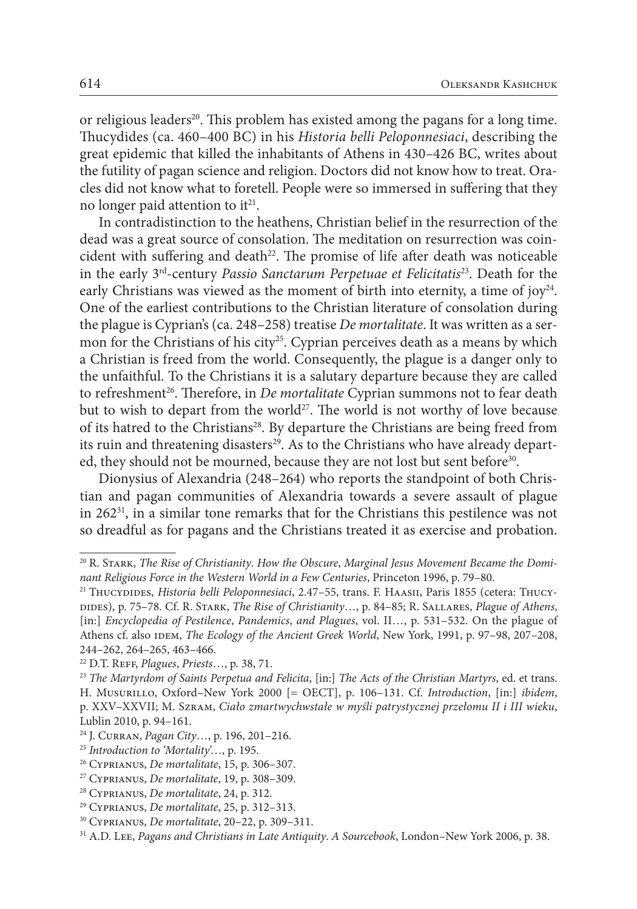or religious leaders<sup>20</sup>. This problem has existed among the pagans for a long time. Thucydides (ca. 460–400 BC) in his *Historia belli Peloponnesiaci*, describing the great epidemic that killed the inhabitants of Athens in 430–426 BC, writes about the futility of pagan science and religion. Doctors did not know how to treat. Oracles did not know what to foretell. People were so immersed in suffering that they no longer paid attention to  $it^{21}$ .

In contradistinction to the heathens, Christian belief in the resurrection of the dead was a great source of consolation. The meditation on resurrection was coincident with suffering and death $^{22}$ . The promise of life after death was noticeable in the early 3rd-century *Passio Sanctarum Perpetuae et Felicitatis*23. Death for the early Christians was viewed as the moment of birth into eternity, a time of joy<sup>24</sup>. One of the earliest contributions to the Christian literature of consolation during the plague is Cyprian's (ca. 248–258) treatise *De mortalitate*. It was written as a sermon for the Christians of his city<sup>25</sup>. Cyprian perceives death as a means by which a Christian is freed from the world. Consequently, the plague is a danger only to the unfaithful. To the Christians it is a salutary departure because they are called to refreshment<sup>26</sup>. Therefore, in *De mortalitate* Cyprian summons not to fear death but to wish to depart from the world<sup>27</sup>. The world is not worthy of love because of its hatred to the Christians<sup>28</sup>. By departure the Christians are being freed from its ruin and threatening disasters<sup>29</sup>. As to the Christians who have already departed, they should not be mourned, because they are not lost but sent before<sup>30</sup>.

Dionysius of Alexandria (248–264) who reports the standpoint of both Christian and pagan communities of Alexandria towards a severe assault of plague in 26231, in a similar tone remarks that for the Christians this pestilence was not so dreadful as for pagans and the Christians treated it as exercise and probation.

<sup>20</sup> R. Stark, *The Rise of Christianity*. *How the Obscure*, *Marginal Jesus Movement Became the Dominant Religious Force in the Western World in a Few Centuries*, Princeton 1996, p. 79–80.

<sup>21</sup> Thucydides, *Historia belli Peloponnesiaci*, 2.47–55, trans. F. Haasii, Paris 1855 (cetera: Thucydides), p. 75–78. Cf. R. Stark, *The Rise of Christianity*…, p. 84–85; R. Sallares, *Plague of Athens*, [in:] *Encyclopedia of Pestilence*, *Pandemics*, *and Plagues*, vol. II…, p. 531–532. On the plague of Athens cf. also IDEM, *The Ecology of the Ancient Greek World*, New York, 1991, p. 97-98, 207-208, 244–262, 264–265, 463–466.

<sup>22</sup> D.T. Reff, *Plagues*, *Priests*…, p. 38, 71.

<sup>23</sup> *The Martyrdom of Saints Perpetua and Felicita*, [in:] *The Acts of the Christian Martyrs*, ed. et trans. H. Musurillo, Oxford–New York 2000 [= OECT], p. 106–131. Cf. *Introduction*, [in:] *ibidem*, p. XXV–XXVII; M. Szram, *Ciało zmartwychwstałe w myśli patrystycznej przełomu II i III wieku*, Lublin 2010, p. 94–161.

<sup>24</sup> J. Curran, *Pagan City*…, p. 196, 201–216.

<sup>25</sup> *Introduction to 'Mortality*'…, p. 195.

<sup>26</sup> Cyprianus, *De mortalitate*, 15, p. 306–307.

<sup>27</sup> Cyprianus, *De mortalitate*, 19, p. 308–309.

<sup>28</sup> Cyprianus, *De mortalitate*, 24, p. 312.

<sup>29</sup> Cyprianus, *De mortalitate*, 25, p. 312–313.

<sup>30</sup> Cyprianus, *De mortalitate*, 20–22, p. 309–311.

<sup>31</sup> A.D. Lee, *Pagans and Christians in Late Antiquity*. *A Sourcebook*, London–New York 2006, p. 38.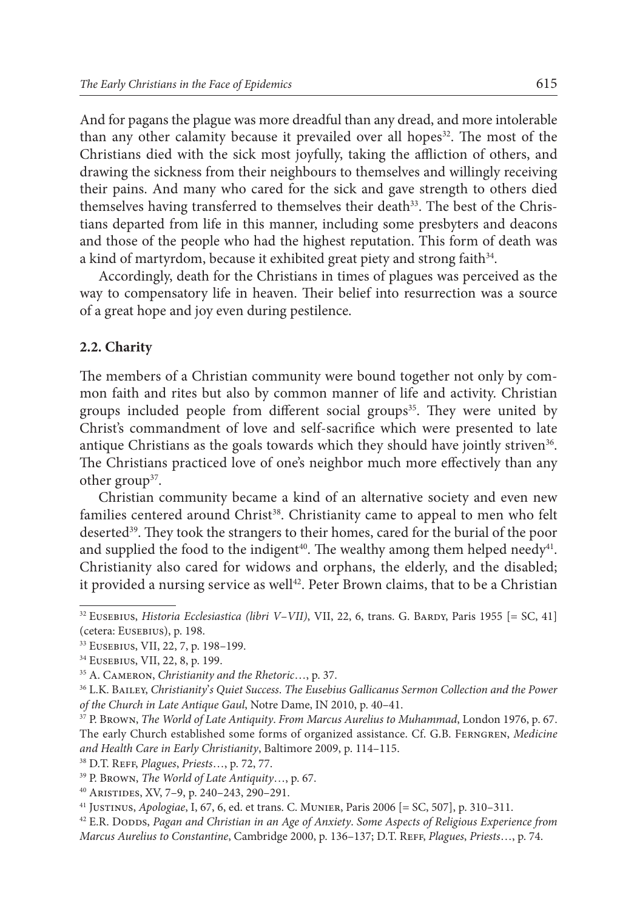And for pagans the plague was more dreadful than any dread, and more intolerable than any other calamity because it prevailed over all hopes<sup>32</sup>. The most of the Christians died with the sick most joyfully, taking the affliction of others, and drawing the sickness from their neighbours to themselves and willingly receiving their pains. And many who cared for the sick and gave strength to others died themselves having transferred to themselves their death<sup>33</sup>. The best of the Christians departed from life in this manner, including some presbyters and deacons and those of the people who had the highest reputation. This form of death was a kind of martyrdom, because it exhibited great piety and strong faith<sup>34</sup>.

Accordingly, death for the Christians in times of plagues was perceived as the way to compensatory life in heaven. Their belief into resurrection was a source of a great hope and joy even during pestilence.

## **2.2. Charity**

The members of a Christian community were bound together not only by common faith and rites but also by common manner of life and activity. Christian groups included people from different social groups<sup>35</sup>. They were united by Christ's commandment of love and self-sacrifice which were presented to late antique Christians as the goals towards which they should have jointly striven $36$ . The Christians practiced love of one's neighbor much more effectively than any other group<sup>37</sup>.

Christian community became a kind of an alternative society and even new families centered around Christ<sup>38</sup>. Christianity came to appeal to men who felt deserted<sup>39</sup>. They took the strangers to their homes, cared for the burial of the poor and supplied the food to the indigent<sup>40</sup>. The wealthy among them helped needy<sup>41</sup>. Christianity also cared for widows and orphans, the elderly, and the disabled; it provided a nursing service as well<sup>42</sup>. Peter Brown claims, that to be a Christian

<sup>&</sup>lt;sup>32</sup> EUSEBIUS, *Historia Ecclesiastica (libri V–VII)*, VII, 22, 6, trans. G. BARDY, Paris 1955 [= SC, 41] (cetera: Eusebius), p. 198.

<sup>33</sup> Eusebius, VII, 22, 7, p. 198–199.

<sup>34</sup> Eusebius, VII, 22, 8, p. 199.

<sup>35</sup> A. Cameron, *Christianity and the Rhetoric*…, p. 37.

<sup>36</sup> L.K. Bailey, *Christianity*'*s Quiet Success*. *The Eusebius Gallicanus Sermon Collection and the Power of the Church in Late Antique Gaul*, Notre Dame, IN 2010, p. 40–41.

<sup>37</sup> P. Brown, *The World of Late Antiquity*. *From Marcus Aurelius to Muhammad*, London 1976, p. 67. The early Church established some forms of organized assistance. Cf. G.B. Ferngren, *Medicine and Health Care in Early Christianity*, Baltimore 2009, p. 114–115.

<sup>38</sup> D.T. Reff, *Plagues*, *Priests*…, p. 72, 77.

<sup>39</sup> P. Brown, *The World of Late Antiquity*…, p. 67.

<sup>40</sup> Aristides, XV, 7–9, p. 240–243, 290–291.

<sup>41</sup> Justinus, *Apologiae*, I, 67, 6, ed. et trans. C. Munier, Paris 2006 [= SC, 507], p. 310–311.

<sup>&</sup>lt;sup>42</sup> E.R. Dodds, *Pagan and Christian in an Age of Anxiety*. Some Aspects of Religious Experience from *Marcus Aurelius to Constantine*, Cambridge 2000, p. 136–137; D.T. Reff, *Plagues*, *Priests*…, p. 74.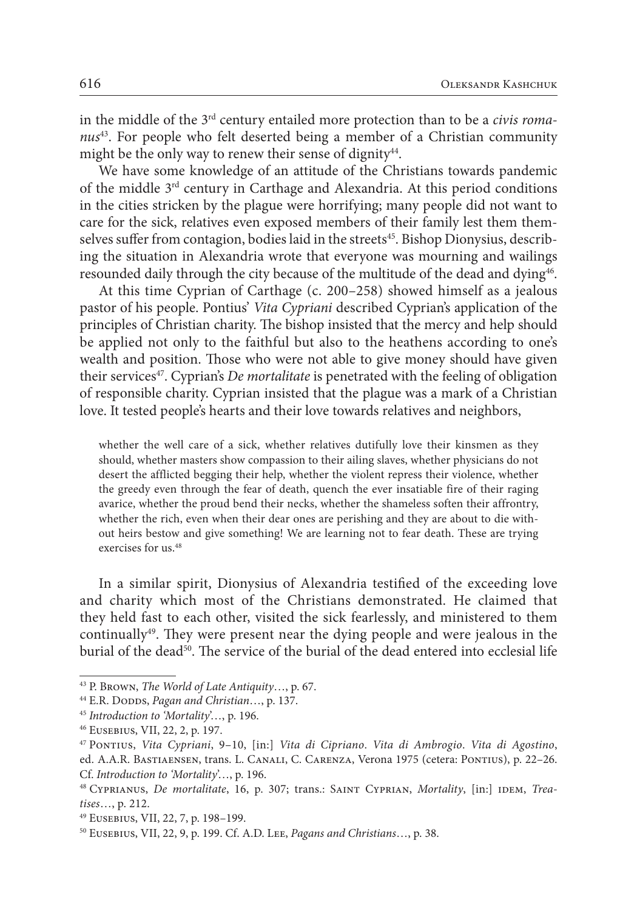in the middle of the 3rd century entailed more protection than to be a *civis romanus*43. For people who felt deserted being a member of a Christian community might be the only way to renew their sense of dignity $44$ .

We have some knowledge of an attitude of the Christians towards pandemic of the middle 3rd century in Carthage and Alexandria. At this period conditions in the cities stricken by the plague were horrifying; many people did not want to care for the sick, relatives even exposed members of their family lest them themselves suffer from contagion, bodies laid in the streets<sup>45</sup>. Bishop Dionysius, describing the situation in Alexandria wrote that everyone was mourning and wailings resounded daily through the city because of the multitude of the dead and dying46.

At this time Cyprian of Carthage (c. 200–258) showed himself as a jealous pastor of his people. Pontius' *Vita Cypriani* described Cyprian's application of the principles of Christian charity. The bishop insisted that the mercy and help should be applied not only to the faithful but also to the heathens according to one's wealth and position. Those who were not able to give money should have given their services47. Cyprian's *De mortalitate* is penetrated with the feeling of obligation of responsible charity. Cyprian insisted that the plague was a mark of a Christian love. It tested people's hearts and their love towards relatives and neighbors,

whether the well care of a sick, whether relatives dutifully love their kinsmen as they should, whether masters show compassion to their ailing slaves, whether physicians do not desert the afflicted begging their help, whether the violent repress their violence, whether the greedy even through the fear of death, quench the ever insatiable fire of their raging avarice, whether the proud bend their necks, whether the shameless soften their affrontry, whether the rich, even when their dear ones are perishing and they are about to die without heirs bestow and give something! We are learning not to fear death. These are trying exercises for us.48

In a similar spirit, Dionysius of Alexandria testified of the exceeding love and charity which most of the Christians demonstrated. He claimed that they held fast to each other, visited the sick fearlessly, and ministered to them continually<sup>49</sup>. They were present near the dying people and were jealous in the burial of the dead<sup>50</sup>. The service of the burial of the dead entered into ecclesial life

<sup>43</sup> P. Brown, *The World of Late Antiquity*…, p. 67.

<sup>&</sup>lt;sup>44</sup> E.R. Dodds, *Pagan and Christian*…, p. 137.

<sup>45</sup> *Introduction to 'Mortality*'…, p. 196.

<sup>46</sup> Eusebius, VII, 22, 2, p. 197.

<sup>47</sup> Pontius, *Vita Cypriani*, 9–10, [in:] *Vita di Cipriano*. *Vita di Ambrogio*. *Vita di Agostino*, ed. A.A.R. Bastiaensen, trans. L. Canali, C. Carenza, Verona 1975 (cetera: Pontius), p. 22–26. Cf. *Introduction to 'Mortality*'…, p. 196.

<sup>48</sup> Cyprianus, *De mortalitate*, 16, p. 307; trans.: Saint Cyprian, *Mortality*, [in:] idem, *Treatises*…, p. 212.

<sup>49</sup> Eusebius, VII, 22, 7, p. 198–199.

<sup>50</sup> Eusebius, VII, 22, 9, p. 199. Cf. A.D. Lee, *Pagans and Christians*…, p. 38.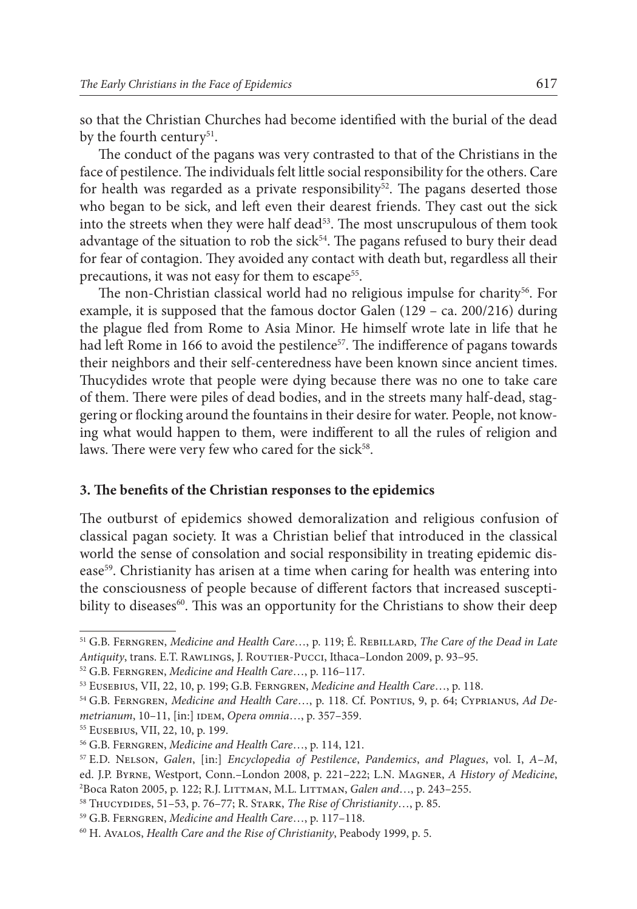so that the Christian Churches had become identified with the burial of the dead by the fourth century<sup>51</sup>.

The conduct of the pagans was very contrasted to that of the Christians in the face of pestilence. The individuals felt little social responsibility for the others. Care for health was regarded as a private responsibility<sup>52</sup>. The pagans deserted those who began to be sick, and left even their dearest friends. They cast out the sick into the streets when they were half dead<sup>53</sup>. The most unscrupulous of them took advantage of the situation to rob the sick $54$ . The pagans refused to bury their dead for fear of contagion. They avoided any contact with death but, regardless all their precautions, it was not easy for them to escape<sup>55</sup>.

The non-Christian classical world had no religious impulse for charity<sup>56</sup>. For example, it is supposed that the famous doctor Galen (129 – ca. 200/216) during the plague fled from Rome to Asia Minor. He himself wrote late in life that he had left Rome in 166 to avoid the pestilence<sup>57</sup>. The indifference of pagans towards their neighbors and their self-centeredness have been known since ancient times. Thucydides wrote that people were dying because there was no one to take care of them. There were piles of dead bodies, and in the streets many half-dead, staggering or flocking around the fountains in their desire for water. People, not knowing what would happen to them, were indifferent to all the rules of religion and laws. There were very few who cared for the sick<sup>58</sup>.

### **3. The benefits of the Christian responses to the epidemics**

The outburst of epidemics showed demoralization and religious confusion of classical pagan society. It was a Christian belief that introduced in the classical world the sense of consolation and social responsibility in treating epidemic disease<sup>59</sup>. Christianity has arisen at a time when caring for health was entering into the consciousness of people because of different factors that increased susceptibility to diseases<sup>60</sup>. This was an opportunity for the Christians to show their deep

<sup>51</sup> G.B. Ferngren, *Medicine and Health Care*…, p. 119; É. Rebillard, *The Care of the Dead in Late Antiquity*, trans. E.T. Rawlings, J. Routier-Pucci, Ithaca–London 2009, p. 93–95.

<sup>52</sup> G.B. Ferngren, *Medicine and Health Care*…, p. 116–117.

<sup>53</sup> Eusebius, VII, 22, 10, p. 199; G.B. Ferngren, *Medicine and Health Care*…, p. 118.

<sup>54</sup> G.B. Ferngren, *Medicine and Health Care*…, p. 118. Cf. Pontius, 9, p. 64; Cyprianus, *Ad Demetrianum*, 10–11, [in:] idem, *Opera omnia*…, p. 357–359.

<sup>55</sup> Eusebius, VII, 22, 10, p. 199.

<sup>56</sup> G.B. Ferngren, *Medicine and Health Care*…, p. 114, 121.

<sup>57</sup> E.D. Nelson, *Galen*, [in:] *Encyclopedia of Pestilence*, *Pandemics*, *and Plagues*, vol. I, *A*–*M*, ed. J.P. Byrne, Westport, Conn.–London 2008, p. 221–222; L.N. Magner, *A History of Medicine*, 2 <sup>2</sup> Boca Raton 2005, p. 122; R.J. LITTMAN, M.L. LITTMAN, *Galen and...*, p. 243-255.

<sup>58</sup> Thucydides, 51–53, p. 76–77; R. Stark, *The Rise of Christianity*…, p. 85.

<sup>59</sup> G.B. Ferngren, *Medicine and Health Care*…, p. 117–118.

<sup>60</sup> H. Avalos, *Health Care and the Rise of Christianity*, Peabody 1999, p. 5.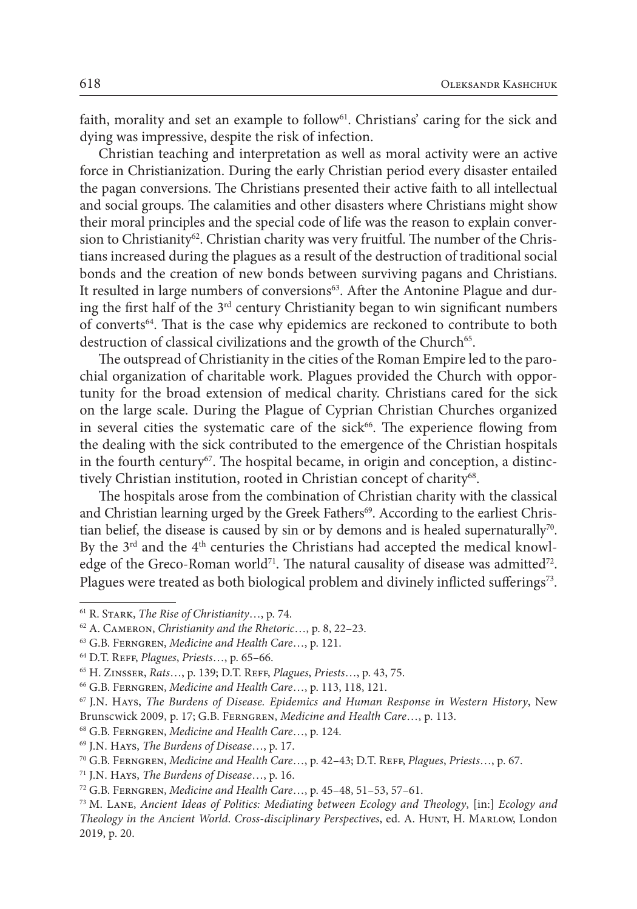faith, morality and set an example to follow<sup>61</sup>. Christians' caring for the sick and dying was impressive, despite the risk of infection.

Christian teaching and interpretation as well as moral activity were an active force in Christianization. During the early Christian period every disaster entailed the pagan conversions. The Christians presented their active faith to all intellectual and social groups. The calamities and other disasters where Christians might show their moral principles and the special code of life was the reason to explain conversion to Christianity<sup>62</sup>. Christian charity was very fruitful. The number of the Christians increased during the plagues as a result of the destruction of traditional social bonds and the creation of new bonds between surviving pagans and Christians. It resulted in large numbers of conversions<sup>63</sup>. After the Antonine Plague and during the first half of the  $3<sup>rd</sup>$  century Christianity began to win significant numbers of converts<sup>64</sup>. That is the case why epidemics are reckoned to contribute to both destruction of classical civilizations and the growth of the Church<sup>65</sup>.

The outspread of Christianity in the cities of the Roman Empire led to the parochial organization of charitable work. Plagues provided the Church with opportunity for the broad extension of medical charity. Christians cared for the sick on the large scale. During the Plague of Cyprian Christian Churches organized in several cities the systematic care of the sick $66$ . The experience flowing from the dealing with the sick contributed to the emergence of the Christian hospitals in the fourth century<sup>67</sup>. The hospital became, in origin and conception, a distinctively Christian institution, rooted in Christian concept of charity<sup>68</sup>.

The hospitals arose from the combination of Christian charity with the classical and Christian learning urged by the Greek Fathers<sup>69</sup>. According to the earliest Christian belief, the disease is caused by sin or by demons and is healed supernaturally<sup>70</sup>. By the  $3<sup>rd</sup>$  and the  $4<sup>th</sup>$  centuries the Christians had accepted the medical knowledge of the Greco-Roman world<sup>71</sup>. The natural causality of disease was admitted<sup>72</sup>. Plagues were treated as both biological problem and divinely inflicted sufferings73.

<sup>61</sup> R. Stark, *The Rise of Christianity*…, p. 74.

<sup>62</sup> A. Cameron, *Christianity and the Rhetoric*…, p. 8, 22–23.

<sup>63</sup> G.B. Ferngren, *Medicine and Health Care*…, p. 121.

<sup>64</sup> D.T. Reff, *Plagues*, *Priests*…, p. 65–66.

<sup>65</sup> H. Zinsser, *Rats*…, p. 139; D.T. Reff, *Plagues*, *Priests*…, p. 43, 75.

<sup>66</sup> G.B. Ferngren, *Medicine and Health Care*…, p. 113, 118, 121.

<sup>67</sup> J.N. Hays, *The Burdens of Disease. Epidemics and Human Response in Western History*, New Brunscwick 2009, p. 17; G.B. Ferngren, *Medicine and Health Care*…, p. 113.

<sup>68</sup> G.B. Ferngren, *Medicine and Health Care*…, p. 124.

<sup>69</sup> J.N. Hays, *The Burdens of Disease*…, p. 17.

<sup>70</sup> G.B. Ferngren, *Medicine and Health Care*…, p. 42–43; D.T. Reff, *Plagues*, *Priests*…, p. 67.

<sup>71</sup> J.N. Hays, *The Burdens of Disease*…, p. 16.

<sup>72</sup> G.B. Ferngren, *Medicine and Health Care*…, p. 45–48, 51–53, 57–61.

<sup>73</sup> M. Lane, *Ancient Ideas of Politics: Mediating between Ecology and Theology*, [in:] *Ecology and Theology in the Ancient World*. *Cross*-*disciplinary Perspectives*, ed. A. Hunt, H. Marlow, London 2019, p. 20.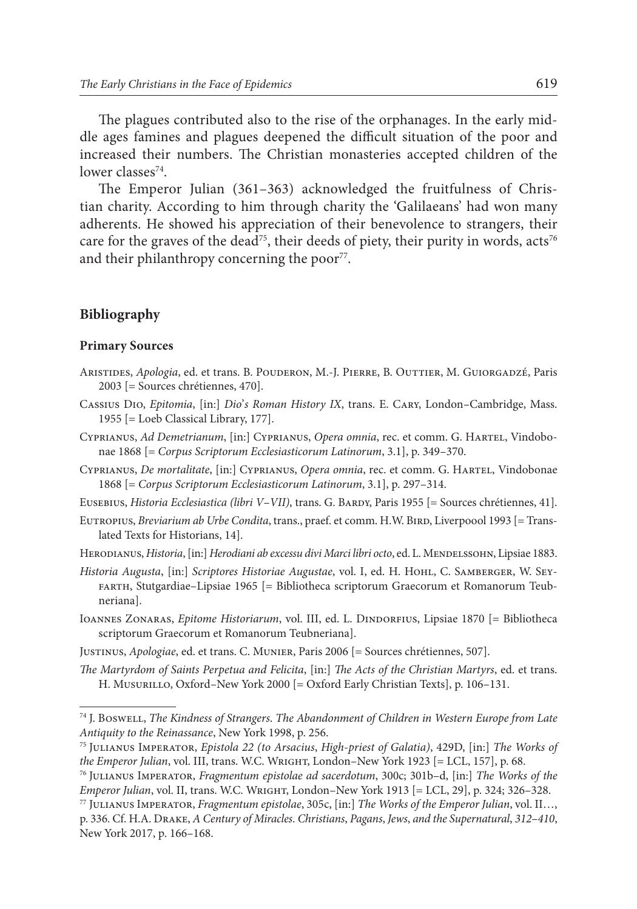The plagues contributed also to the rise of the orphanages. In the early middle ages famines and plagues deepened the difficult situation of the poor and increased their numbers. The Christian monasteries accepted children of the lower classes $74$ .

The Emperor Julian (361–363) acknowledged the fruitfulness of Christian charity. According to him through charity the 'Galilaeans' had won many adherents. He showed his appreciation of their benevolence to strangers, their care for the graves of the dead<sup>75</sup>, their deeds of piety, their purity in words,  $acts^{76}$ and their philanthropy concerning the poor $77$ .

## **Bibliography**

#### **Primary Sources**

- Aristides, *Apologia*, ed. et trans. B. Pouderon, M.-J. Pierre, B. Outtier, M. Guiorgadzé, Paris 2003 [= Sources chrétiennes, 470].
- Cassius Dio, *Epitomia*, [in:] *Dio*'*s Roman History IX*, trans. E. Cary, London–Cambridge, Mass. 1955 [= Loeb Classical Library, 177].
- Cyprianus, *Ad Demetrianum*, [in:] Cyprianus, *Opera omnia*, rec. et comm. G. Hartel, Vindobonae 1868 [= *Corpus Scriptorum Ecclesiasticorum Latinorum*, 3.1], p. 349–370.
- Cyprianus, *De mortalitate*, [in:] Cyprianus, *Opera omnia*, rec. et comm. G. Hartel, Vindobonae 1868 [= *Corpus Scriptorum Ecclesiasticorum Latinorum*, 3.1], p. 297–314.
- Eusebius, *Historia Ecclesiastica (libri V*–*VII)*, trans. G. Bardy, Paris 1955 [= Sources chrétiennes, 41].
- EUTROPIUS, *Breviarium ab Urbe Condita*, trans., praef. et comm. H.W. BIRD, Liverpoool 1993 [= Translated Texts for Historians, 14].
- HERODIANUS, *Historia*, [in:] *Herodiani ab excessu divi Marci libri octo*, ed. L. MENDELSSOHN, Lipsiae 1883.
- *Historia Augusta*, [in:] *Scriptores Historiae Augustae*, vol. I, ed. H. Hohl, C. Samberger, W. Seyfarth, Stutgardiae–Lipsiae 1965 [= Bibliotheca scriptorum Graecorum et Romanorum Teubneriana].
- IOANNES ZONARAS, *Epitome Historiarum*, vol. III, ed. L. DINDORFIUS, Lipsiae 1870 [= Bibliotheca scriptorum Graecorum et Romanorum Teubneriana].
- Justinus, *Apologiae*, ed. et trans. C. Munier, Paris 2006 [= Sources chrétiennes, 507].
- *The Martyrdom of Saints Perpetua and Felicita*, [in:] *The Acts of the Christian Martyrs*, ed. et trans. H. Musurillo, Oxford–New York 2000 [= Oxford Early Christian Texts], p. 106–131.

<sup>74</sup> J. Boswell, *The Kindness of Strangers*. *The Abandonment of Children in Western Europe from Late Antiquity to the Reinassance*, New York 1998, p. 256.

<sup>75</sup> Julianus Imperator, *Epistola 22 (to Arsacius*, *High*-*priest of Galatia)*, 429D, [in:] *The Works of the Emperor Julian*, vol. III, trans. W.C. Wright, London–New York 1923 [= LCL, 157], p. 68.

<sup>76</sup> Julianus Imperator, *Fragmentum epistolae ad sacerdotum*, 300c; 301b–d, [in:] *The Works of the Emperor Julian*, vol. II, trans. W.C. Wright, London–New York 1913 [= LCL, 29], p. 324; 326–328.

<sup>77</sup> Julianus Imperator, *Fragmentum epistolae*, 305c, [in:] *The Works of the Emperor Julian*, vol. II…, p. 336. Cf. H.A. Drake, *A Century of Miracles*. *Christians*, *Pagans*, *Jews*, *and the Supernatural*, *312*–*410*, New York 2017, p. 166–168.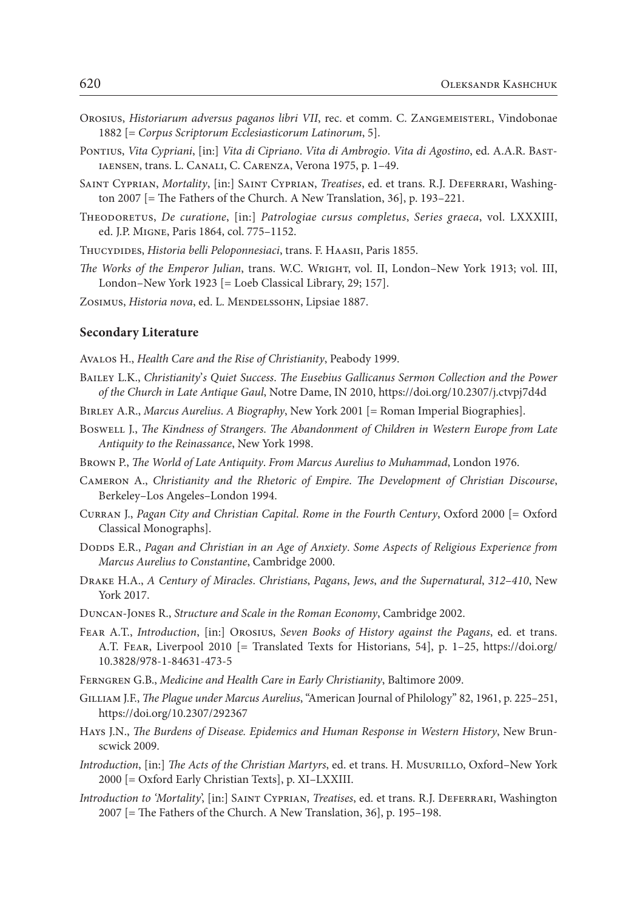- Orosius, *Historiarum adversus paganos libri VII*, rec. et comm. C. ZANGEMEISTERL, Vindobonae 1882 [= *Corpus Scriptorum Ecclesiasticorum Latinorum*, 5].
- Pontius, *Vita Cypriani*, [in:] *Vita di Cipriano*. *Vita di Ambrogio*. *Vita di Agostino*, ed. A.A.R. Bastiaensen, trans. L. Canali, C. Carenza, Verona 1975, p. 1–49.
- Saint Cyprian, *Mortality*, [in:] Saint Cyprian, *Treatises*, ed. et trans. R.J. Deferrari, Washington 2007 [= The Fathers of the Church. A New Translation, 36], p. 193–221.
- Theodoretus, *De curatione*, [in:] *Patrologiae cursus completus*, *Series graeca*, vol. LXXXIII, ed. J.P. Migne, Paris 1864, col. 775–1152.
- Thucydides, *Historia belli Peloponnesiaci*, trans. F. Haasii, Paris 1855.
- *The Works of the Emperor Julian*, trans. W.C. Wright, vol. II, London–New York 1913; vol. III, London–New York 1923 [= Loeb Classical Library, 29; 157].
- Zosimus, *Historia nova*, ed. L. MENDELSSOHN, Lipsiae 1887.

#### **Secondary Literature**

Avalos H., *Health Care and the Rise of Christianity*, Peabody 1999.

- Bailey L.K., *Christianity*'*s Quiet Success*. *The Eusebius Gallicanus Sermon Collection and the Power of the Church in Late Antique Gaul*, Notre Dame, IN 2010, https://doi.org/10.2307/j.ctvpj7d4d
- Birley A.R., *Marcus Aurelius*. *A Biography*, New York 2001 [= Roman Imperial Biographies].
- Boswell J., *The Kindness of Strangers*. *The Abandonment of Children in Western Europe from Late Antiquity to the Reinassance*, New York 1998.
- Brown P., *The World of Late Antiquity*. *From Marcus Aurelius to Muhammad*, London 1976.
- Cameron A., *Christianity and the Rhetoric of Empire*. *The Development of Christian Discourse*, Berkeley–Los Angeles–London 1994.
- Curran J., *Pagan City and Christian Capital*. *Rome in the Fourth Century*, Oxford 2000 [= Oxford Classical Monographs].
- Dodds E.R., *Pagan and Christian in an Age of Anxiety*. *Some Aspects of Religious Experience from Marcus Aurelius to Constantine*, Cambridge 2000.
- Drake H.A., *A Century of Miracles*. *Christians*, *Pagans*, *Jews*, *and the Supernatural*, *312*–*410*, New York 2017.
- Duncan-Jones R., *Structure and Scale in the Roman Economy*, Cambridge 2002.
- Fear A.T., *Introduction*, [in:] Orosius, *Seven Books of History against the Pagans*, ed. et trans. A.T. Fear, Liverpool 2010 [= Translated Texts for Historians, 54], p. 1–25, [https://doi.org/](https://doi.org/10.3828/978-1-84631-473-5) [10.3828/978-1-84631-473-5](https://doi.org/10.3828/978-1-84631-473-5)
- Ferngren G.B., *Medicine and Health Care in Early Christianity*, Baltimore 2009.
- Gilliam J.F., *The Plague under Marcus Aurelius*, "American Journal of Philology" 82, 1961, p. 225–251, https://doi.org/10.2307/292367
- Hays J.N., *The Burdens of Disease. Epidemics and Human Response in Western History*, New Brunscwick 2009.
- *Introduction*, [in:] *The Acts of the Christian Martyrs*, ed. et trans. H. Musurillo, Oxford–New York 2000 [= Oxford Early Christian Texts], p. XI–LXXIII.
- *Introduction to 'Mortality*', [in:] Saint Cyprian, *Treatises*, ed. et trans. R.J. Deferrari, Washington 2007 [= The Fathers of the Church. A New Translation, 36], p. 195–198.